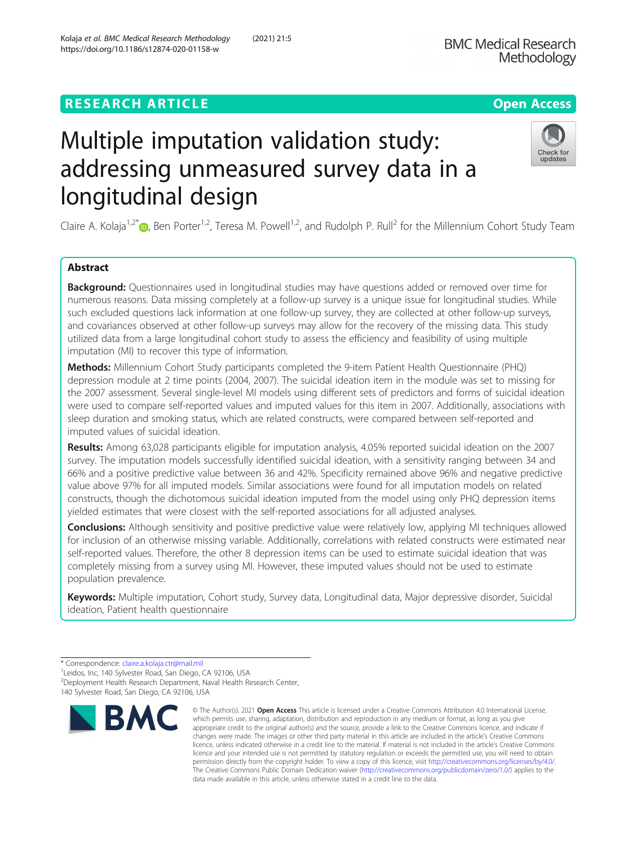# **RESEARCH ARTICLE Example 2018 12:30 THE Open Access**

# Multiple imputation validation study: addressing unmeasured survey data in a longitudinal design

Claire A. Kolaja<sup>1[,](http://orcid.org/0000-0002-4693-0460)2\*</sup>  $\bullet$ , Ben Porter<sup>1,2</sup>, Teresa M. Powell<sup>1,2</sup>, and Rudolph P. Rull<sup>2</sup> for the Millennium Cohort Study Team

# Abstract

**Background:** Questionnaires used in longitudinal studies may have questions added or removed over time for numerous reasons. Data missing completely at a follow-up survey is a unique issue for longitudinal studies. While such excluded questions lack information at one follow-up survey, they are collected at other follow-up surveys, and covariances observed at other follow-up surveys may allow for the recovery of the missing data. This study utilized data from a large longitudinal cohort study to assess the efficiency and feasibility of using multiple imputation (MI) to recover this type of information.

Methods: Millennium Cohort Study participants completed the 9-item Patient Health Questionnaire (PHQ) depression module at 2 time points (2004, 2007). The suicidal ideation item in the module was set to missing for the 2007 assessment. Several single-level MI models using different sets of predictors and forms of suicidal ideation were used to compare self-reported values and imputed values for this item in 2007. Additionally, associations with sleep duration and smoking status, which are related constructs, were compared between self-reported and imputed values of suicidal ideation.

Results: Among 63,028 participants eligible for imputation analysis, 4.05% reported suicidal ideation on the 2007 survey. The imputation models successfully identified suicidal ideation, with a sensitivity ranging between 34 and 66% and a positive predictive value between 36 and 42%. Specificity remained above 96% and negative predictive value above 97% for all imputed models. Similar associations were found for all imputation models on related constructs, though the dichotomous suicidal ideation imputed from the model using only PHQ depression items yielded estimates that were closest with the self-reported associations for all adjusted analyses.

**Conclusions:** Although sensitivity and positive predictive value were relatively low, applying MI techniques allowed for inclusion of an otherwise missing variable. Additionally, correlations with related constructs were estimated near self-reported values. Therefore, the other 8 depression items can be used to estimate suicidal ideation that was completely missing from a survey using MI. However, these imputed values should not be used to estimate population prevalence.

Keywords: Multiple imputation, Cohort study, Survey data, Longitudinal data, Major depressive disorder, Suicidal ideation, Patient health questionnaire

RA



© The Author(s), 2021 **Open Access** This article is licensed under a Creative Commons Attribution 4.0 International License, which permits use, sharing, adaptation, distribution and reproduction in any medium or format, as long as you give



<sup>\*</sup> Correspondence: [claire.a.kolaja.ctr@mail.mil](mailto:claire.a.kolaja.ctr@mail.mil) <sup>1</sup>

<sup>&</sup>lt;sup>1</sup> Leidos, Inc, 140 Sylvester Road, San Diego, CA 92106, USA 2 Deployment Health Research Department, Naval Health Research Center, 140 Sylvester Road, San Diego, CA 92106, USA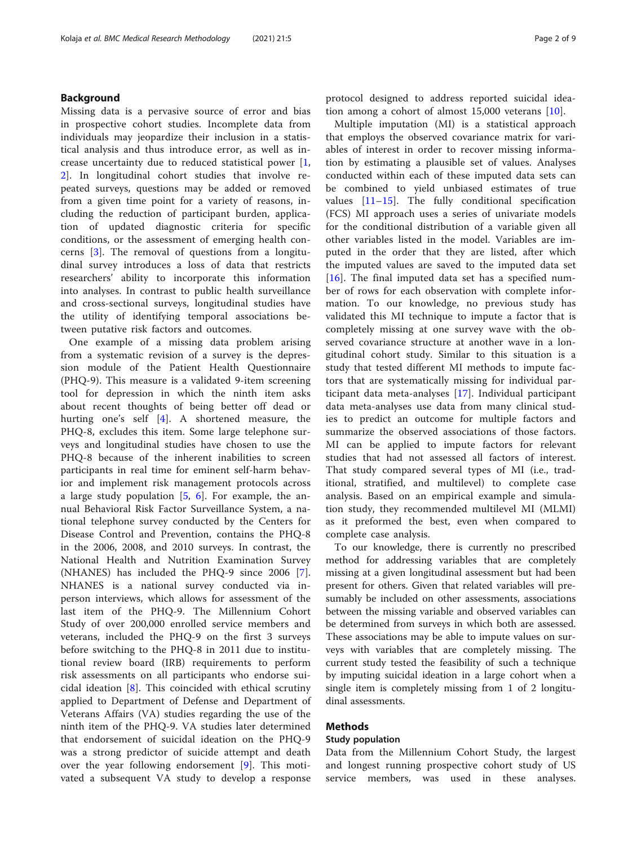# Background

Missing data is a pervasive source of error and bias in prospective cohort studies. Incomplete data from individuals may jeopardize their inclusion in a statistical analysis and thus introduce error, as well as increase uncertainty due to reduced statistical power [\[1](#page-8-0), [2\]](#page-8-0). In longitudinal cohort studies that involve repeated surveys, questions may be added or removed from a given time point for a variety of reasons, including the reduction of participant burden, application of updated diagnostic criteria for specific conditions, or the assessment of emerging health concerns [\[3](#page-8-0)]. The removal of questions from a longitudinal survey introduces a loss of data that restricts researchers' ability to incorporate this information into analyses. In contrast to public health surveillance and cross-sectional surveys, longitudinal studies have the utility of identifying temporal associations between putative risk factors and outcomes.

One example of a missing data problem arising from a systematic revision of a survey is the depression module of the Patient Health Questionnaire (PHQ-9). This measure is a validated 9-item screening tool for depression in which the ninth item asks about recent thoughts of being better off dead or hurting one's self [[4\]](#page-8-0). A shortened measure, the PHQ-8, excludes this item. Some large telephone surveys and longitudinal studies have chosen to use the PHQ-8 because of the inherent inabilities to screen participants in real time for eminent self-harm behavior and implement risk management protocols across a large study population  $[5, 6]$  $[5, 6]$  $[5, 6]$  $[5, 6]$ . For example, the annual Behavioral Risk Factor Surveillance System, a national telephone survey conducted by the Centers for Disease Control and Prevention, contains the PHQ-8 in the 2006, 2008, and 2010 surveys. In contrast, the National Health and Nutrition Examination Survey (NHANES) has included the PHQ-9 since 2006 [\[7](#page-8-0)]. NHANES is a national survey conducted via inperson interviews, which allows for assessment of the last item of the PHQ-9. The Millennium Cohort Study of over 200,000 enrolled service members and veterans, included the PHQ-9 on the first 3 surveys before switching to the PHQ-8 in 2011 due to institutional review board (IRB) requirements to perform risk assessments on all participants who endorse suicidal ideation [\[8](#page-8-0)]. This coincided with ethical scrutiny applied to Department of Defense and Department of Veterans Affairs (VA) studies regarding the use of the ninth item of the PHQ-9. VA studies later determined that endorsement of suicidal ideation on the PHQ-9 was a strong predictor of suicide attempt and death over the year following endorsement [[9\]](#page-8-0). This motivated a subsequent VA study to develop a response protocol designed to address reported suicidal ideation among a cohort of almost 15,000 veterans [[10\]](#page-8-0).

Multiple imputation (MI) is a statistical approach that employs the observed covariance matrix for variables of interest in order to recover missing information by estimating a plausible set of values. Analyses conducted within each of these imputed data sets can be combined to yield unbiased estimates of true values [[11](#page-8-0)–[15\]](#page-8-0). The fully conditional specification (FCS) MI approach uses a series of univariate models for the conditional distribution of a variable given all other variables listed in the model. Variables are imputed in the order that they are listed, after which the imputed values are saved to the imputed data set  $[16]$  $[16]$ . The final imputed data set has a specified number of rows for each observation with complete information. To our knowledge, no previous study has validated this MI technique to impute a factor that is completely missing at one survey wave with the observed covariance structure at another wave in a longitudinal cohort study. Similar to this situation is a study that tested different MI methods to impute factors that are systematically missing for individual participant data meta-analyses [[17\]](#page-8-0). Individual participant data meta-analyses use data from many clinical studies to predict an outcome for multiple factors and summarize the observed associations of those factors. MI can be applied to impute factors for relevant studies that had not assessed all factors of interest. That study compared several types of MI (i.e., traditional, stratified, and multilevel) to complete case analysis. Based on an empirical example and simulation study, they recommended multilevel MI (MLMI) as it preformed the best, even when compared to complete case analysis.

To our knowledge, there is currently no prescribed method for addressing variables that are completely missing at a given longitudinal assessment but had been present for others. Given that related variables will presumably be included on other assessments, associations between the missing variable and observed variables can be determined from surveys in which both are assessed. These associations may be able to impute values on surveys with variables that are completely missing. The current study tested the feasibility of such a technique by imputing suicidal ideation in a large cohort when a single item is completely missing from 1 of 2 longitudinal assessments.

# Methods

#### Study population

Data from the Millennium Cohort Study, the largest and longest running prospective cohort study of US service members, was used in these analyses.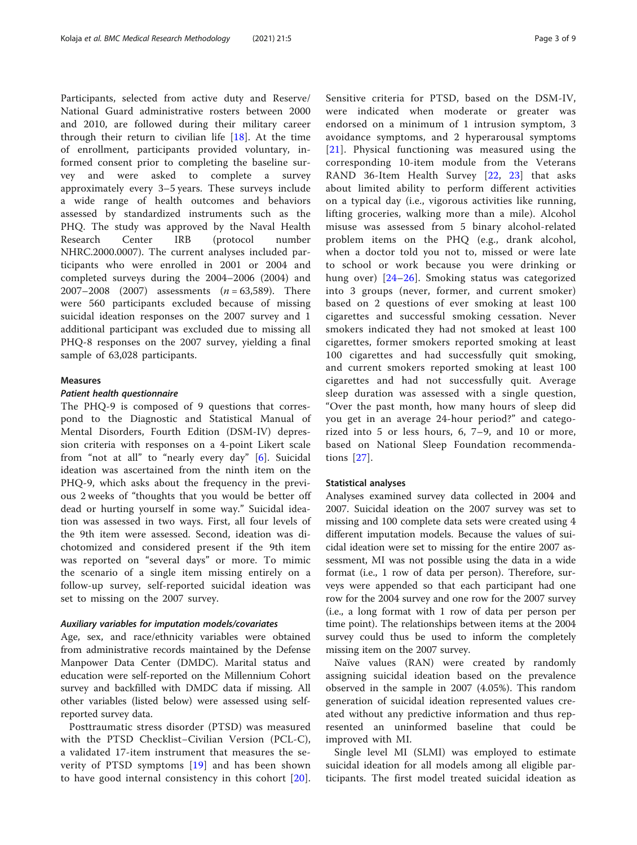Participants, selected from active duty and Reserve/ National Guard administrative rosters between 2000 and 2010, are followed during their military career through their return to civilian life [[18\]](#page-8-0). At the time of enrollment, participants provided voluntary, informed consent prior to completing the baseline survey and were asked to complete a survey approximately every 3–5 years. These surveys include a wide range of health outcomes and behaviors assessed by standardized instruments such as the PHQ. The study was approved by the Naval Health Research Center IRB (protocol number NHRC.2000.0007). The current analyses included participants who were enrolled in 2001 or 2004 and completed surveys during the 2004–2006 (2004) and 2007–2008 (2007) assessments  $(n = 63,589)$ . There were 560 participants excluded because of missing suicidal ideation responses on the 2007 survey and 1 additional participant was excluded due to missing all PHQ-8 responses on the 2007 survey, yielding a final sample of 63,028 participants.

### Measures

#### Patient health questionnaire

The PHQ-9 is composed of 9 questions that correspond to the Diagnostic and Statistical Manual of Mental Disorders, Fourth Edition (DSM-IV) depression criteria with responses on a 4-point Likert scale from "not at all" to "nearly every day" [[6\]](#page-8-0). Suicidal ideation was ascertained from the ninth item on the PHQ-9, which asks about the frequency in the previous 2 weeks of "thoughts that you would be better off dead or hurting yourself in some way." Suicidal ideation was assessed in two ways. First, all four levels of the 9th item were assessed. Second, ideation was dichotomized and considered present if the 9th item was reported on "several days" or more. To mimic the scenario of a single item missing entirely on a follow-up survey, self-reported suicidal ideation was set to missing on the 2007 survey.

#### Auxiliary variables for imputation models/covariates

Age, sex, and race/ethnicity variables were obtained from administrative records maintained by the Defense Manpower Data Center (DMDC). Marital status and education were self-reported on the Millennium Cohort survey and backfilled with DMDC data if missing. All other variables (listed below) were assessed using selfreported survey data.

Posttraumatic stress disorder (PTSD) was measured with the PTSD Checklist−Civilian Version (PCL-C), a validated 17-item instrument that measures the severity of PTSD symptoms [\[19](#page-8-0)] and has been shown to have good internal consistency in this cohort [[20](#page-8-0)]. Sensitive criteria for PTSD, based on the DSM-IV, were indicated when moderate or greater was endorsed on a minimum of 1 intrusion symptom, 3 avoidance symptoms, and 2 hyperarousal symptoms [[21](#page-8-0)]. Physical functioning was measured using the corresponding 10-item module from the Veterans RAND 36-Item Health Survey [\[22,](#page-8-0) [23](#page-8-0)] that asks about limited ability to perform different activities on a typical day (i.e., vigorous activities like running, lifting groceries, walking more than a mile). Alcohol misuse was assessed from 5 binary alcohol-related problem items on the PHQ (e.g., drank alcohol, when a doctor told you not to, missed or were late to school or work because you were drinking or hung over) [[24](#page-8-0)–[26\]](#page-8-0). Smoking status was categorized into 3 groups (never, former, and current smoker) based on 2 questions of ever smoking at least 100 cigarettes and successful smoking cessation. Never smokers indicated they had not smoked at least 100 cigarettes, former smokers reported smoking at least 100 cigarettes and had successfully quit smoking, and current smokers reported smoking at least 100 cigarettes and had not successfully quit. Average sleep duration was assessed with a single question, "Over the past month, how many hours of sleep did you get in an average 24-hour period?" and categorized into 5 or less hours, 6, 7–9, and 10 or more, based on National Sleep Foundation recommendations [[27](#page-8-0)].

#### Statistical analyses

Analyses examined survey data collected in 2004 and 2007. Suicidal ideation on the 2007 survey was set to missing and 100 complete data sets were created using 4 different imputation models. Because the values of suicidal ideation were set to missing for the entire 2007 assessment, MI was not possible using the data in a wide format (i.e., 1 row of data per person). Therefore, surveys were appended so that each participant had one row for the 2004 survey and one row for the 2007 survey (i.e., a long format with 1 row of data per person per time point). The relationships between items at the 2004 survey could thus be used to inform the completely missing item on the 2007 survey.

Naïve values (RAN) were created by randomly assigning suicidal ideation based on the prevalence observed in the sample in 2007 (4.05%). This random generation of suicidal ideation represented values created without any predictive information and thus represented an uninformed baseline that could be improved with MI.

Single level MI (SLMI) was employed to estimate suicidal ideation for all models among all eligible participants. The first model treated suicidal ideation as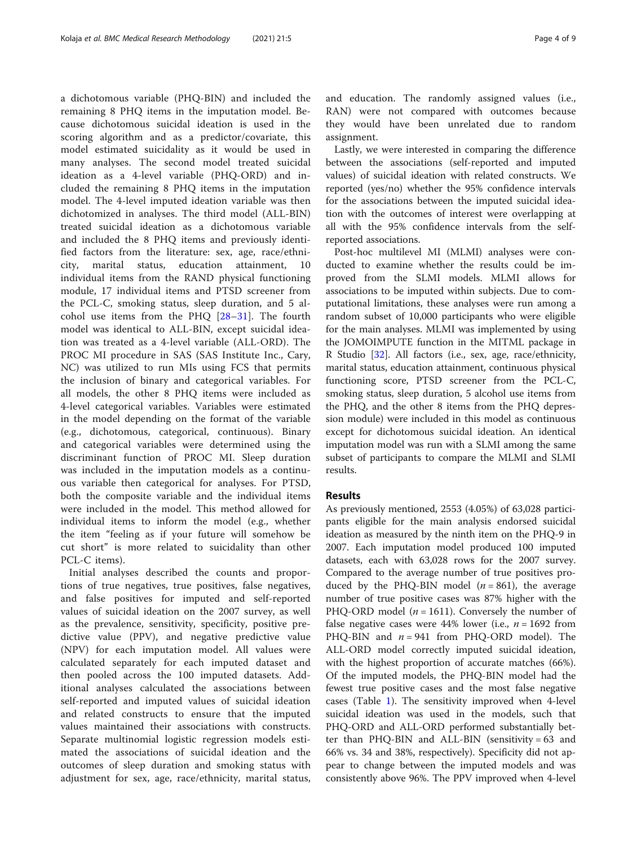a dichotomous variable (PHQ-BIN) and included the remaining 8 PHQ items in the imputation model. Because dichotomous suicidal ideation is used in the scoring algorithm and as a predictor/covariate, this model estimated suicidality as it would be used in many analyses. The second model treated suicidal ideation as a 4-level variable (PHQ-ORD) and included the remaining 8 PHQ items in the imputation model. The 4-level imputed ideation variable was then dichotomized in analyses. The third model (ALL-BIN) treated suicidal ideation as a dichotomous variable and included the 8 PHQ items and previously identified factors from the literature: sex, age, race/ethnicity, marital status, education attainment, 10 individual items from the RAND physical functioning module, 17 individual items and PTSD screener from the PCL-C, smoking status, sleep duration, and 5 alcohol use items from the PHQ [[28](#page-8-0)–[31\]](#page-8-0). The fourth model was identical to ALL-BIN, except suicidal ideation was treated as a 4-level variable (ALL-ORD). The PROC MI procedure in SAS (SAS Institute Inc., Cary, NC) was utilized to run MIs using FCS that permits the inclusion of binary and categorical variables. For all models, the other 8 PHQ items were included as 4-level categorical variables. Variables were estimated in the model depending on the format of the variable (e.g., dichotomous, categorical, continuous). Binary and categorical variables were determined using the discriminant function of PROC MI. Sleep duration was included in the imputation models as a continuous variable then categorical for analyses. For PTSD, both the composite variable and the individual items were included in the model. This method allowed for individual items to inform the model (e.g., whether the item "feeling as if your future will somehow be cut short" is more related to suicidality than other PCL-C items).

Initial analyses described the counts and proportions of true negatives, true positives, false negatives, and false positives for imputed and self-reported values of suicidal ideation on the 2007 survey, as well as the prevalence, sensitivity, specificity, positive predictive value (PPV), and negative predictive value (NPV) for each imputation model. All values were calculated separately for each imputed dataset and then pooled across the 100 imputed datasets. Additional analyses calculated the associations between self-reported and imputed values of suicidal ideation and related constructs to ensure that the imputed values maintained their associations with constructs. Separate multinomial logistic regression models estimated the associations of suicidal ideation and the outcomes of sleep duration and smoking status with adjustment for sex, age, race/ethnicity, marital status, and education. The randomly assigned values (i.e., RAN) were not compared with outcomes because they would have been unrelated due to random assignment.

Lastly, we were interested in comparing the difference between the associations (self-reported and imputed values) of suicidal ideation with related constructs. We reported (yes/no) whether the 95% confidence intervals for the associations between the imputed suicidal ideation with the outcomes of interest were overlapping at all with the 95% confidence intervals from the selfreported associations.

Post-hoc multilevel MI (MLMI) analyses were conducted to examine whether the results could be improved from the SLMI models. MLMI allows for associations to be imputed within subjects. Due to computational limitations, these analyses were run among a random subset of 10,000 participants who were eligible for the main analyses. MLMI was implemented by using the JOMOIMPUTE function in the MITML package in R Studio [[32\]](#page-8-0). All factors (i.e., sex, age, race/ethnicity, marital status, education attainment, continuous physical functioning score, PTSD screener from the PCL-C, smoking status, sleep duration, 5 alcohol use items from the PHQ, and the other 8 items from the PHQ depression module) were included in this model as continuous except for dichotomous suicidal ideation. An identical imputation model was run with a SLMI among the same subset of participants to compare the MLMI and SLMI results.

# Results

As previously mentioned, 2553 (4.05%) of 63,028 participants eligible for the main analysis endorsed suicidal ideation as measured by the ninth item on the PHQ-9 in 2007. Each imputation model produced 100 imputed datasets, each with 63,028 rows for the 2007 survey. Compared to the average number of true positives produced by the PHQ-BIN model  $(n = 861)$ , the average number of true positive cases was 87% higher with the PHQ-ORD model ( $n = 1611$ ). Conversely the number of false negative cases were 44% lower (i.e.,  $n = 1692$  from PHQ-BIN and  $n = 941$  from PHQ-ORD model). The ALL-ORD model correctly imputed suicidal ideation, with the highest proportion of accurate matches (66%). Of the imputed models, the PHQ-BIN model had the fewest true positive cases and the most false negative cases (Table [1\)](#page-4-0). The sensitivity improved when 4-level suicidal ideation was used in the models, such that PHQ-ORD and ALL-ORD performed substantially better than PHQ-BIN and ALL-BIN (sensitivity = 63 and 66% vs. 34 and 38%, respectively). Specificity did not appear to change between the imputed models and was consistently above 96%. The PPV improved when 4-level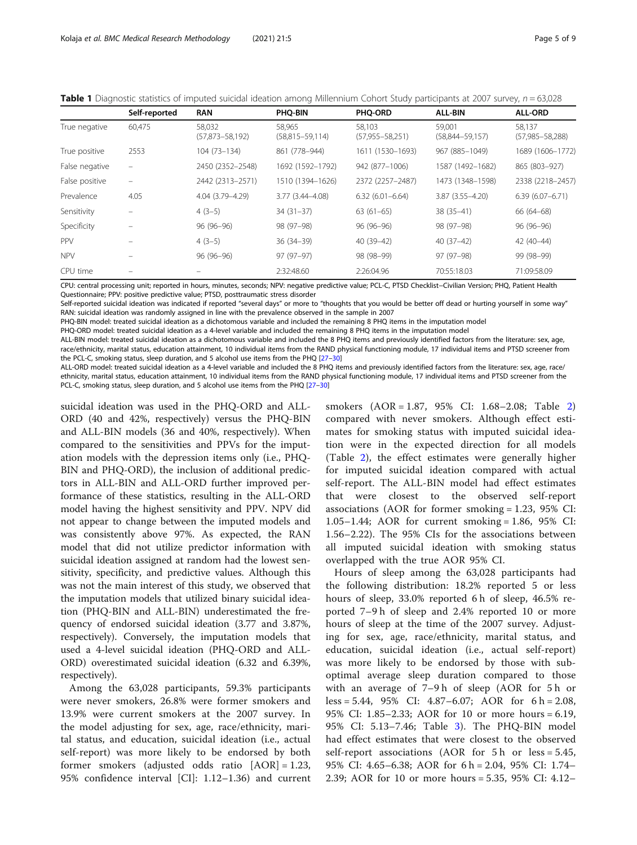<span id="page-4-0"></span>

|  | Table 1 Diagnostic statistics of imputed suicidal ideation among Millennium Cohort Study participants at 2007 survey, $n = 63,028$ |  |  |
|--|------------------------------------------------------------------------------------------------------------------------------------|--|--|
|  |                                                                                                                                    |  |  |

|                | Self-reported                  | <b>RAN</b>                    | PHQ-BIN                         | PHQ-ORD                         | <b>ALL-BIN</b>                | <b>ALL-ORD</b>                |
|----------------|--------------------------------|-------------------------------|---------------------------------|---------------------------------|-------------------------------|-------------------------------|
| True negative  | 60,475                         | 58,032<br>$(57,873 - 58,192)$ | 58.965<br>$(58, 815 - 59, 114)$ | 58,103<br>$(57, 955 - 58, 251)$ | 59.001<br>$(58,844 - 59,157)$ | 58,137<br>$(57,985 - 58,288)$ |
| True positive  | 2553                           | 104 (73-134)                  | 861 (778-944)                   | 1611 (1530-1693)                | 967 (885-1049)                | 1689 (1606-1772)              |
| False negative | -                              | 2450 (2352-2548)              | 1692 (1592-1792)                | 942 (877-1006)                  | 1587 (1492-1682)              | 865 (803-927)                 |
| False positive | $\qquad \qquad \longleftarrow$ | 2442 (2313-2571)              | 1510 (1394-1626)                | 2372 (2257-2487)                | 1473 (1348-1598)              | 2338 (2218-2457)              |
| Prevalence     | 4.05                           | 4.04 (3.79-4.29)              | 3.77 (3.44-4.08)                | $6.32(6.01 - 6.64)$             | $3.87(3.55 - 4.20)$           | $6.39(6.07 - 6.71)$           |
| Sensitivity    |                                | $4(3-5)$                      | $34(31-37)$                     | $63(61-65)$                     | $38(35 - 41)$                 | 66 (64-68)                    |
| Specificity    |                                | $96(96-96)$                   | 98 (97-98)                      | $96(96-96)$                     | 98 (97-98)                    | $96(96-96)$                   |
| <b>PPV</b>     |                                | $4(3-5)$                      | $36(34-39)$                     | $40(39-42)$                     | $40(37-42)$                   | $42(40-44)$                   |
| <b>NPV</b>     |                                | 96 (96-96)                    | 97 (97-97)                      | 98 (98-99)                      | 97 (97-98)                    | 99 (98-99)                    |
| CPU time       |                                |                               | 2:32:48.60                      | 2:26:04.96                      | 70:55:18.03                   | 71:09:58.09                   |

CPU: central processing unit; reported in hours, minutes, seconds; NPV: negative predictive value; PCL-C, PTSD Checklist−Civilian Version; PHQ, Patient Health Questionnaire; PPV: positive predictive value; PTSD, posttraumatic stress disorder

Self-reported suicidal ideation was indicated if reported "several days" or more to "thoughts that you would be better off dead or hurting yourself in some way" RAN: suicidal ideation was randomly assigned in line with the prevalence observed in the sample in 2007

PHQ-BIN model: treated suicidal ideation as a dichotomous variable and included the remaining 8 PHQ items in the imputation model

PHQ-ORD model: treated suicidal ideation as a 4-level variable and included the remaining 8 PHQ items in the imputation model

ALL-BIN model: treated suicidal ideation as a dichotomous variable and included the 8 PHQ items and previously identified factors from the literature: sex, age, race/ethnicity, marital status, education attainment, 10 individual items from the RAND physical functioning module, 17 individual items and PTSD screener from the PCL-C, smoking status, sleep duration, and 5 alcohol use items from the PHQ [\[27](#page-8-0)–[30](#page-8-0)]

ALL-ORD model: treated suicidal ideation as a 4-level variable and included the 8 PHQ items and previously identified factors from the literature: sex, age, race/ ethnicity, marital status, education attainment, 10 individual items from the RAND physical functioning module, 17 individual items and PTSD screener from the PCL-C, smoking status, sleep duration, and 5 alcohol use items from the PHQ [[27](#page-8-0)–[30](#page-8-0)]

suicidal ideation was used in the PHQ-ORD and ALL-ORD (40 and 42%, respectively) versus the PHQ-BIN and ALL-BIN models (36 and 40%, respectively). When compared to the sensitivities and PPVs for the imputation models with the depression items only (i.e., PHQ-BIN and PHQ-ORD), the inclusion of additional predictors in ALL-BIN and ALL-ORD further improved performance of these statistics, resulting in the ALL-ORD model having the highest sensitivity and PPV. NPV did not appear to change between the imputed models and was consistently above 97%. As expected, the RAN model that did not utilize predictor information with suicidal ideation assigned at random had the lowest sensitivity, specificity, and predictive values. Although this was not the main interest of this study, we observed that the imputation models that utilized binary suicidal ideation (PHQ-BIN and ALL-BIN) underestimated the frequency of endorsed suicidal ideation (3.77 and 3.87%, respectively). Conversely, the imputation models that used a 4-level suicidal ideation (PHQ-ORD and ALL-ORD) overestimated suicidal ideation (6.32 and 6.39%, respectively).

Among the 63,028 participants, 59.3% participants were never smokers, 26.8% were former smokers and 13.9% were current smokers at the 2007 survey. In the model adjusting for sex, age, race/ethnicity, marital status, and education, suicidal ideation (i.e., actual self-report) was more likely to be endorsed by both former smokers (adjusted odds ratio [AOR] = 1.23, 95% confidence interval [CI]: 1.12–1.36) and current smokers (AOR = 1.87, 95% CI: 1.68–2.08; Table [2](#page-5-0)) compared with never smokers. Although effect estimates for smoking status with imputed suicidal ideation were in the expected direction for all models (Table [2\)](#page-5-0), the effect estimates were generally higher for imputed suicidal ideation compared with actual self-report. The ALL-BIN model had effect estimates that were closest to the observed self-report associations (AOR for former smoking = 1.23, 95% CI: 1.05–1.44; AOR for current smoking = 1.86, 95% CI: 1.56–2.22). The 95% CIs for the associations between all imputed suicidal ideation with smoking status overlapped with the true AOR 95% CI.

Hours of sleep among the 63,028 participants had the following distribution: 18.2% reported 5 or less hours of sleep, 33.0% reported 6 h of sleep, 46.5% reported 7–9 h of sleep and 2.4% reported 10 or more hours of sleep at the time of the 2007 survey. Adjusting for sex, age, race/ethnicity, marital status, and education, suicidal ideation (i.e., actual self-report) was more likely to be endorsed by those with suboptimal average sleep duration compared to those with an average of 7–9 h of sleep (AOR for 5 h or  $less = 5.44, 95\%$  CI:  $4.87-6.07$ ; AOR for  $6 h = 2.08$ , 95% CI: 1.85–2.33; AOR for 10 or more hours = 6.19, 95% CI: 5.13–7.46; Table [3](#page-5-0)). The PHQ-BIN model had effect estimates that were closest to the observed self-report associations (AOR for 5 h or less = 5.45, 95% CI: 4.65–6.38; AOR for 6 h = 2.04, 95% CI: 1.74– 2.39; AOR for 10 or more hours = 5.35, 95% CI: 4.12–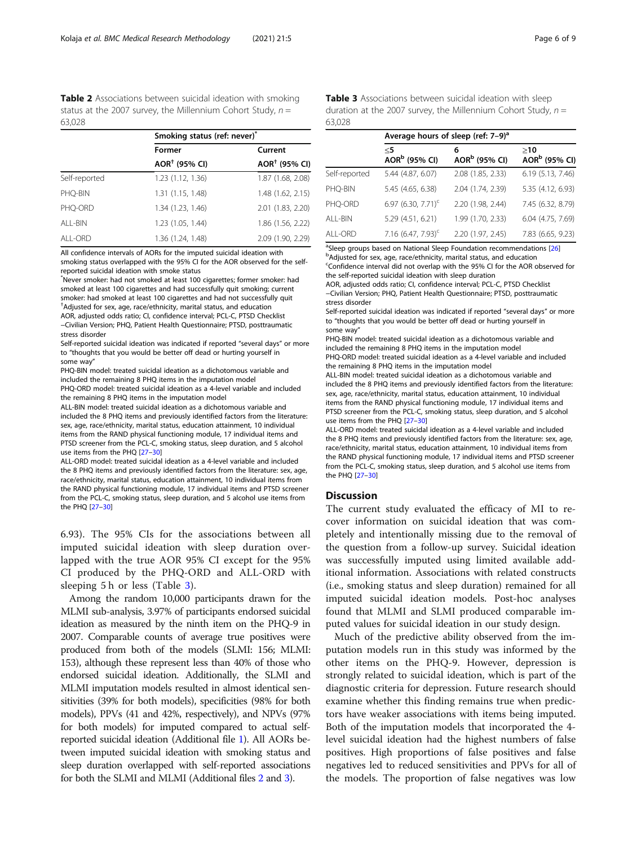<span id="page-5-0"></span>Table 2 Associations between suicidal ideation with smoking status at the 2007 survey, the Millennium Cohort Study,  $n =$ 63,028

|               | Smoking status (ref: never)* |                           |  |
|---------------|------------------------------|---------------------------|--|
|               | Former                       | Current                   |  |
|               | $AOR†$ (95% CI)              | AOR <sup>†</sup> (95% CI) |  |
| Self-reported | 1.23 (1.12, 1.36)            | 1.87 (1.68, 2.08)         |  |
| PHO-BIN       | 1.31 (1.15, 1.48)            | 1.48 (1.62, 2.15)         |  |
| PHO-ORD       | 1.34 (1.23, 1.46)            | 2.01 (1.83, 2.20)         |  |
| ALL-BIN       | 1.23 (1.05, 1.44)            | 1.86 (1.56, 2.22)         |  |
| ALL-ORD       | 1.36 (1.24, 1.48)            | 2.09 (1.90, 2.29)         |  |

All confidence intervals of AORs for the imputed suicidal ideation with smoking status overlapped with the 95% CI for the AOR observed for the selfreported suicidal ideation with smoke status

\* Never smoker: had not smoked at least 100 cigarettes; former smoker: had smoked at least 100 cigarettes and had successfully quit smoking; current smoker: had smoked at least 100 cigarettes and had not successfully quit † Adjusted for sex, age, race/ethnicity, marital status, and education

AOR, adjusted odds ratio; CI, confidence interval; PCL-C, PTSD Checklist −Civilian Version; PHQ, Patient Health Questionnaire; PTSD, posttraumatic stress disorder

Self-reported suicidal ideation was indicated if reported "several days" or more to "thoughts that you would be better off dead or hurting yourself in some way"

PHQ-BIN model: treated suicidal ideation as a dichotomous variable and included the remaining 8 PHQ items in the imputation model PHQ-ORD model: treated suicidal ideation as a 4-level variable and included the remaining 8 PHQ items in the imputation model

ALL-BIN model: treated suicidal ideation as a dichotomous variable and included the 8 PHQ items and previously identified factors from the literature: sex, age, race/ethnicity, marital status, education attainment, 10 individual items from the RAND physical functioning module, 17 individual items and PTSD screener from the PCL-C, smoking status, sleep duration, and 5 alcohol use items from the PHQ [[27](#page-8-0)–[30\]](#page-8-0)

ALL-ORD model: treated suicidal ideation as a 4-level variable and included the 8 PHQ items and previously identified factors from the literature: sex, age, race/ethnicity, marital status, education attainment, 10 individual items from the RAND physical functioning module, 17 individual items and PTSD screener from the PCL-C, smoking status, sleep duration, and 5 alcohol use items from the PHQ [[27](#page-8-0)–[30](#page-8-0)]

6.93). The 95% CIs for the associations between all imputed suicidal ideation with sleep duration overlapped with the true AOR 95% CI except for the 95% CI produced by the PHQ-ORD and ALL-ORD with sleeping 5 h or less (Table 3).

Among the random 10,000 participants drawn for the MLMI sub-analysis, 3.97% of participants endorsed suicidal ideation as measured by the ninth item on the PHQ-9 in 2007. Comparable counts of average true positives were produced from both of the models (SLMI: 156; MLMI: 153), although these represent less than 40% of those who endorsed suicidal ideation. Additionally, the SLMI and MLMI imputation models resulted in almost identical sensitivities (39% for both models), specificities (98% for both models), PPVs (41 and 42%, respectively), and NPVs (97% for both models) for imputed compared to actual selfreported suicidal ideation (Additional file [1\)](#page-7-0). All AORs between imputed suicidal ideation with smoking status and sleep duration overlapped with self-reported associations for both the SLMI and MLMI (Additional files [2](#page-7-0) and [3\)](#page-7-0).

Table 3 Associations between suicidal ideation with sleep duration at the 2007 survey, the Millennium Cohort Study,  $n =$ 63,028

|               | Average hours of sleep (ref: 7-9) <sup>a</sup> |                                |                                  |  |
|---------------|------------------------------------------------|--------------------------------|----------------------------------|--|
|               | $<$ 5<br>AOR <sup>b</sup> (95% CI)             | 6<br>AOR <sup>b</sup> (95% CI) | >10<br>AOR <sup>b</sup> (95% CI) |  |
| Self-reported | 5.44 (4.87, 6.07)                              | 2.08 (1.85, 2.33)              | 6.19 (5.13, 7.46)                |  |
| PHQ-BIN       | 5.45 (4.65, 6.38)                              | 2.04 (1.74, 2.39)              | 5.35 (4.12, 6.93)                |  |
| PHQ-ORD       | 6.97 (6.30, 7.71) <sup>c</sup>                 | 2.20 (1.98, 2.44)              | 7.45 (6.32, 8.79)                |  |
| ALL-BIN       | 5.29 (4.51, 6.21)                              | 1.99 (1.70, 2.33)              | 6.04 (4.75, 7.69)                |  |
| ALL-ORD       | 7.16 $(6.47, 7.93)^c$                          | 2.20 (1.97, 2.45)              | 7.83 (6.65, 9.23)                |  |

<sup>a</sup> Sleep groups based on National Sleep Foundation recommendations [\[26](#page-8-0)] b Adjusted for sex, age, race/ethnicity, marital status, and education

<sup>c</sup>Confidence interval did not overlap with the 95% CI for the AOR observed for the self-reported suicidal ideation with sleep duration

AOR, adjusted odds ratio; CI, confidence interval; PCL-C, PTSD Checklist −Civilian Version; PHQ, Patient Health Questionnaire; PTSD, posttraumatic stress disorder

Self-reported suicidal ideation was indicated if reported "several days" or more to "thoughts that you would be better off dead or hurting yourself in some way"

PHQ-BIN model: treated suicidal ideation as a dichotomous variable and included the remaining 8 PHQ items in the imputation model PHQ-ORD model: treated suicidal ideation as a 4-level variable and included the remaining 8 PHQ items in the imputation model

ALL-BIN model: treated suicidal ideation as a dichotomous variable and included the 8 PHQ items and previously identified factors from the literature: sex, age, race/ethnicity, marital status, education attainment, 10 individual items from the RAND physical functioning module, 17 individual items and PTSD screener from the PCL-C, smoking status, sleep duration, and 5 alcohol use items from the PHQ [[27](#page-8-0)–[30\]](#page-8-0)

ALL-ORD model: treated suicidal ideation as a 4-level variable and included the 8 PHQ items and previously identified factors from the literature: sex, age, race/ethnicity, marital status, education attainment, 10 individual items from the RAND physical functioning module, 17 individual items and PTSD screener from the PCL-C, smoking status, sleep duration, and 5 alcohol use items from the PHQ [[27](#page-8-0)–[30](#page-8-0)]

#### **Discussion**

The current study evaluated the efficacy of MI to recover information on suicidal ideation that was completely and intentionally missing due to the removal of the question from a follow-up survey. Suicidal ideation was successfully imputed using limited available additional information. Associations with related constructs (i.e., smoking status and sleep duration) remained for all imputed suicidal ideation models. Post-hoc analyses found that MLMI and SLMI produced comparable imputed values for suicidal ideation in our study design.

Much of the predictive ability observed from the imputation models run in this study was informed by the other items on the PHQ-9. However, depression is strongly related to suicidal ideation, which is part of the diagnostic criteria for depression. Future research should examine whether this finding remains true when predictors have weaker associations with items being imputed. Both of the imputation models that incorporated the 4 level suicidal ideation had the highest numbers of false positives. High proportions of false positives and false negatives led to reduced sensitivities and PPVs for all of the models. The proportion of false negatives was low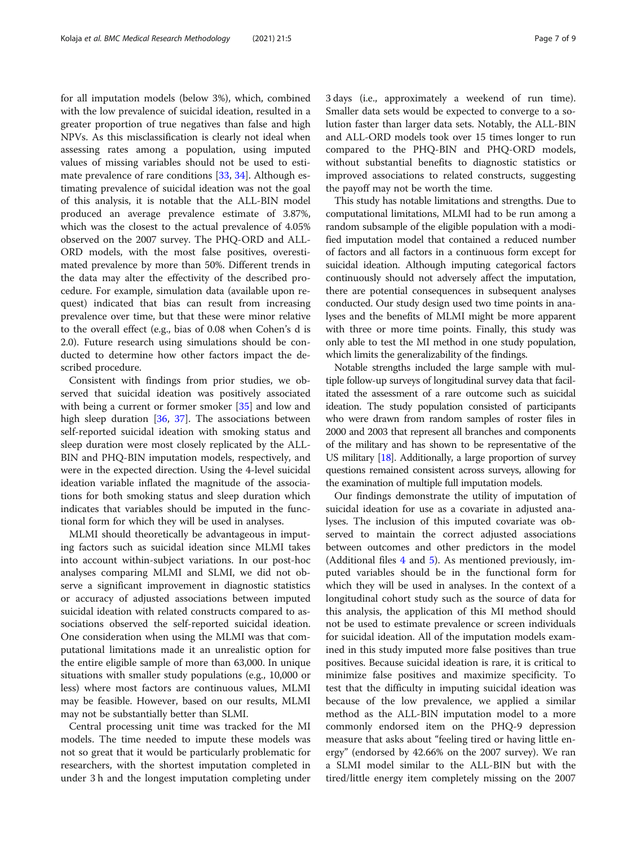for all imputation models (below 3%), which, combined with the low prevalence of suicidal ideation, resulted in a greater proportion of true negatives than false and high NPVs. As this misclassification is clearly not ideal when assessing rates among a population, using imputed values of missing variables should not be used to estimate prevalence of rare conditions [[33](#page-8-0), [34](#page-8-0)]. Although estimating prevalence of suicidal ideation was not the goal of this analysis, it is notable that the ALL-BIN model produced an average prevalence estimate of 3.87%, which was the closest to the actual prevalence of 4.05% observed on the 2007 survey. The PHQ-ORD and ALL-ORD models, with the most false positives, overestimated prevalence by more than 50%. Different trends in the data may alter the effectivity of the described procedure. For example, simulation data (available upon request) indicated that bias can result from increasing prevalence over time, but that these were minor relative to the overall effect (e.g., bias of 0.08 when Cohen's d is 2.0). Future research using simulations should be conducted to determine how other factors impact the described procedure.

Consistent with findings from prior studies, we observed that suicidal ideation was positively associated with being a current or former smoker [\[35](#page-8-0)] and low and high sleep duration [[36,](#page-8-0) [37](#page-8-0)]. The associations between self-reported suicidal ideation with smoking status and sleep duration were most closely replicated by the ALL-BIN and PHQ-BIN imputation models, respectively, and were in the expected direction. Using the 4-level suicidal ideation variable inflated the magnitude of the associations for both smoking status and sleep duration which indicates that variables should be imputed in the functional form for which they will be used in analyses.

MLMI should theoretically be advantageous in imputing factors such as suicidal ideation since MLMI takes into account within-subject variations. In our post-hoc analyses comparing MLMI and SLMI, we did not observe a significant improvement in diagnostic statistics or accuracy of adjusted associations between imputed suicidal ideation with related constructs compared to associations observed the self-reported suicidal ideation. One consideration when using the MLMI was that computational limitations made it an unrealistic option for the entire eligible sample of more than 63,000. In unique situations with smaller study populations (e.g., 10,000 or less) where most factors are continuous values, MLMI may be feasible. However, based on our results, MLMI may not be substantially better than SLMI.

Central processing unit time was tracked for the MI models. The time needed to impute these models was not so great that it would be particularly problematic for researchers, with the shortest imputation completed in under 3 h and the longest imputation completing under 3 days (i.e., approximately a weekend of run time). Smaller data sets would be expected to converge to a solution faster than larger data sets. Notably, the ALL-BIN and ALL-ORD models took over 15 times longer to run compared to the PHQ-BIN and PHQ-ORD models, without substantial benefits to diagnostic statistics or improved associations to related constructs, suggesting

This study has notable limitations and strengths. Due to computational limitations, MLMI had to be run among a random subsample of the eligible population with a modified imputation model that contained a reduced number of factors and all factors in a continuous form except for suicidal ideation. Although imputing categorical factors continuously should not adversely affect the imputation, there are potential consequences in subsequent analyses conducted. Our study design used two time points in analyses and the benefits of MLMI might be more apparent with three or more time points. Finally, this study was only able to test the MI method in one study population, which limits the generalizability of the findings.

the payoff may not be worth the time.

Notable strengths included the large sample with multiple follow-up surveys of longitudinal survey data that facilitated the assessment of a rare outcome such as suicidal ideation. The study population consisted of participants who were drawn from random samples of roster files in 2000 and 2003 that represent all branches and components of the military and has shown to be representative of the US military  $[18]$ . Additionally, a large proportion of survey questions remained consistent across surveys, allowing for the examination of multiple full imputation models.

Our findings demonstrate the utility of imputation of suicidal ideation for use as a covariate in adjusted analyses. The inclusion of this imputed covariate was observed to maintain the correct adjusted associations between outcomes and other predictors in the model (Additional files [4](#page-7-0) and [5](#page-7-0)). As mentioned previously, imputed variables should be in the functional form for which they will be used in analyses. In the context of a longitudinal cohort study such as the source of data for this analysis, the application of this MI method should not be used to estimate prevalence or screen individuals for suicidal ideation. All of the imputation models examined in this study imputed more false positives than true positives. Because suicidal ideation is rare, it is critical to minimize false positives and maximize specificity. To test that the difficulty in imputing suicidal ideation was because of the low prevalence, we applied a similar method as the ALL-BIN imputation model to a more commonly endorsed item on the PHQ-9 depression measure that asks about "feeling tired or having little energy" (endorsed by 42.66% on the 2007 survey). We ran a SLMI model similar to the ALL-BIN but with the tired/little energy item completely missing on the 2007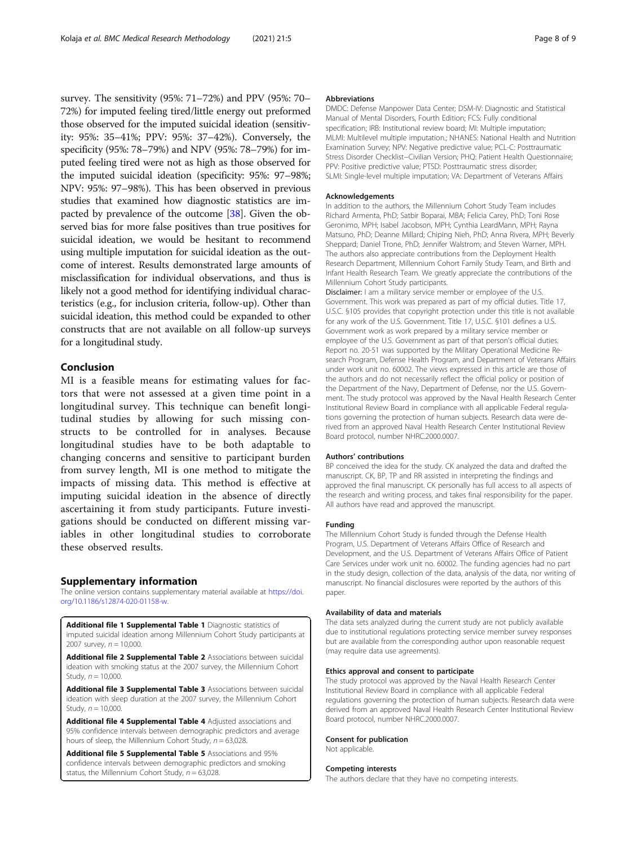<span id="page-7-0"></span>survey. The sensitivity (95%: 71–72%) and PPV (95%: 70– 72%) for imputed feeling tired/little energy out preformed those observed for the imputed suicidal ideation (sensitivity: 95%: 35–41%; PPV: 95%: 37–42%). Conversely, the specificity (95%: 78–79%) and NPV (95%: 78–79%) for imputed feeling tired were not as high as those observed for the imputed suicidal ideation (specificity: 95%: 97–98%; NPV: 95%: 97–98%). This has been observed in previous studies that examined how diagnostic statistics are impacted by prevalence of the outcome [\[38\]](#page-8-0). Given the observed bias for more false positives than true positives for suicidal ideation, we would be hesitant to recommend using multiple imputation for suicidal ideation as the outcome of interest. Results demonstrated large amounts of misclassification for individual observations, and thus is likely not a good method for identifying individual characteristics (e.g., for inclusion criteria, follow-up). Other than suicidal ideation, this method could be expanded to other constructs that are not available on all follow-up surveys for a longitudinal study.

# Conclusion

MI is a feasible means for estimating values for factors that were not assessed at a given time point in a longitudinal survey. This technique can benefit longitudinal studies by allowing for such missing constructs to be controlled for in analyses. Because longitudinal studies have to be both adaptable to changing concerns and sensitive to participant burden from survey length, MI is one method to mitigate the impacts of missing data. This method is effective at imputing suicidal ideation in the absence of directly ascertaining it from study participants. Future investigations should be conducted on different missing variables in other longitudinal studies to corroborate these observed results.

#### Supplementary information

The online version contains supplementary material available at [https://doi.](https://doi.org/10.1186/s12874-020-01158-w) [org/10.1186/s12874-020-01158-w](https://doi.org/10.1186/s12874-020-01158-w).

Additional file 1 Supplemental Table 1 Diagnostic statistics of imputed suicidal ideation among Millennium Cohort Study participants at 2007 survey,  $n = 10,000$ .

Additional file 2 Supplemental Table 2 Associations between suicidal ideation with smoking status at the 2007 survey, the Millennium Cohort Study,  $n = 10,000$ .

Additional file 3 Supplemental Table 3 Associations between suicidal ideation with sleep duration at the 2007 survey, the Millennium Cohort Study,  $n = 10,000$ .

Additional file 4 Supplemental Table 4 Adjusted associations and 95% confidence intervals between demographic predictors and average hours of sleep, the Millennium Cohort Study,  $n = 63,028$ .

Additional file 5 Supplemental Table 5 Associations and 95% confidence intervals between demographic predictors and smoking status, the Millennium Cohort Study,  $n = 63,028$ .

#### Abbreviations

DMDC: Defense Manpower Data Center; DSM-IV: Diagnostic and Statistical Manual of Mental Disorders, Fourth Edition; FCS: Fully conditional specification; IRB: Institutional review board; MI: Multiple imputation; MLMI: Multilevel multiple imputation.; NHANES: National Health and Nutrition Examination Survey; NPV: Negative predictive value; PCL-C: Posttraumatic Stress Disorder Checklist−Civilian Version; PHQ: Patient Health Questionnaire; PPV: Positive predictive value; PTSD: Posttraumatic stress disorder; SLMI: Single-level multiple imputation; VA: Department of Veterans Affairs

#### Acknowledgements

In addition to the authors, the Millennium Cohort Study Team includes Richard Armenta, PhD; Satbir Boparai, MBA; Felicia Carey, PhD; Toni Rose Geronimo, MPH; Isabel Jacobson, MPH; Cynthia LeardMann, MPH; Rayna Matsuno, PhD; Deanne Millard; Chiping Nieh, PhD; Anna Rivera, MPH; Beverly Sheppard; Daniel Trone, PhD; Jennifer Walstrom; and Steven Warner, MPH. The authors also appreciate contributions from the Deployment Health Research Department, Millennium Cohort Family Study Team, and Birth and Infant Health Research Team. We greatly appreciate the contributions of the Millennium Cohort Study participants.

Disclaimer: I am a military service member or employee of the U.S. Government. This work was prepared as part of my official duties. Title 17, U.S.C. §105 provides that copyright protection under this title is not available for any work of the U.S. Government. Title 17, U.S.C. §101 defines a U.S. Government work as work prepared by a military service member or employee of the U.S. Government as part of that person's official duties. Report no. 20-51 was supported by the Military Operational Medicine Research Program, Defense Health Program, and Department of Veterans Affairs under work unit no. 60002. The views expressed in this article are those of the authors and do not necessarily reflect the official policy or position of the Department of the Navy, Department of Defense, nor the U.S. Government. The study protocol was approved by the Naval Health Research Center Institutional Review Board in compliance with all applicable Federal regulations governing the protection of human subjects. Research data were derived from an approved Naval Health Research Center Institutional Review Board protocol, number NHRC.2000.0007.

#### Authors' contributions

BP conceived the idea for the study. CK analyzed the data and drafted the manuscript. CK, BP, TP and RR assisted in interpreting the findings and approved the final manuscript. CK personally has full access to all aspects of the research and writing process, and takes final responsibility for the paper. All authors have read and approved the manuscript.

#### Funding

The Millennium Cohort Study is funded through the Defense Health Program, U.S. Department of Veterans Affairs Office of Research and Development, and the U.S. Department of Veterans Affairs Office of Patient Care Services under work unit no. 60002. The funding agencies had no part in the study design, collection of the data, analysis of the data, nor writing of manuscript. No financial disclosures were reported by the authors of this paper.

#### Availability of data and materials

The data sets analyzed during the current study are not publicly available due to institutional regulations protecting service member survey responses but are available from the corresponding author upon reasonable request (may require data use agreements).

#### Ethics approval and consent to participate

The study protocol was approved by the Naval Health Research Center Institutional Review Board in compliance with all applicable Federal regulations governing the protection of human subjects. Research data were derived from an approved Naval Health Research Center Institutional Review Board protocol, number NHRC.2000.0007.

#### Consent for publication

Not applicable.

#### Competing interests

The authors declare that they have no competing interests.